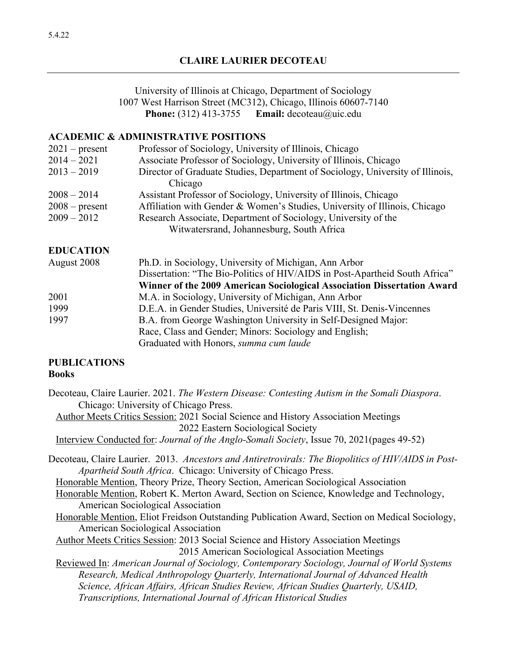University of Illinois at Chicago, Department of Sociology 1007 West Harrison Street (MC312), Chicago, Illinois 60607-7140 **Phone:** (312) 413-3755 **Email:** decoteau@uic.edu

#### **ACADEMIC & ADMINISTRATIVE POSITIONS**

| $2021$ – present | Professor of Sociology, University of Illinois, Chicago                        |
|------------------|--------------------------------------------------------------------------------|
| $2014 - 2021$    | Associate Professor of Sociology, University of Illinois, Chicago              |
| $2013 - 2019$    | Director of Graduate Studies, Department of Sociology, University of Illinois, |
|                  | Chicago                                                                        |
| $2008 - 2014$    | Assistant Professor of Sociology, University of Illinois, Chicago              |
| $2008$ – present | Affiliation with Gender & Women's Studies, University of Illinois, Chicago     |
| $2009 - 2012$    | Research Associate, Department of Sociology, University of the                 |
|                  | Witwatersrand, Johannesburg, South Africa                                      |
| <b>EDUCATION</b> |                                                                                |
| August 2008      | Ph.D. in Sociology, University of Michigan, Ann Arbor                          |
|                  | Dissertation: "The Bio-Politics of HIV/AIDS in Post-Apartheid South Africa"    |
|                  | Winner of the 2009 American Sociological Association Dissertation Award        |
| 2001             | M.A. in Sociology, University of Michigan, Ann Arbor                           |
| 1999             | D.E.A. in Gender Studies, Université de Paris VIII, St. Denis-Vincennes        |
| 1997             | B.A. from George Washington University in Self-Designed Major:                 |
|                  | Race, Class and Gender; Minors: Sociology and English;                         |
|                  | Graduated with Honors, summa cum laude                                         |

#### **PUBLICATIONS Books**

| Decoteau, Claire Laurier. 2021. The Western Disease: Contesting Autism in the Somali Diaspora. |  |  |
|------------------------------------------------------------------------------------------------|--|--|
| Chicago: University of Chicago Press.                                                          |  |  |

 Author Meets Critics Session: 2021 Social Science and History Association Meetings 2022 Eastern Sociological Society

- Interview Conducted for: *Journal of the Anglo-Somali Society*, Issue 70, 2021(pages 49-52)
- Decoteau, Claire Laurier. 2013. *Ancestors and Antiretrovirals: The Biopolitics of HIV/AIDS in Post-Apartheid South Africa*. Chicago: University of Chicago Press.
	- Honorable Mention, Theory Prize, Theory Section, American Sociological Association

Honorable Mention, Robert K. Merton Award, Section on Science, Knowledge and Technology, American Sociological Association

- Honorable Mention, Eliot Freidson Outstanding Publication Award, Section on Medical Sociology, American Sociological Association
- Author Meets Critics Session: 2013 Social Science and History Association Meetings 2015 American Sociological Association Meetings
- Reviewed In: *American Journal of Sociology, Contemporary Sociology, Journal of World Systems Research, Medical Anthropology Quarterly, International Journal of Advanced Health Science, African Affairs, African Studies Review, African Studies Quarterly, USAID, Transcriptions, International Journal of African Historical Studies*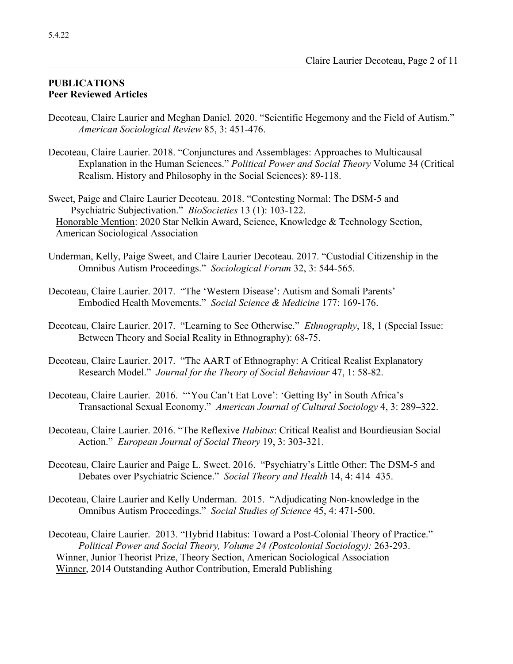### **PUBLICATIONS Peer Reviewed Articles**

- Decoteau, Claire Laurier and Meghan Daniel. 2020. "Scientific Hegemony and the Field of Autism." *American Sociological Review* 85, 3: 451-476.
- Decoteau, Claire Laurier. 2018. "Conjunctures and Assemblages: Approaches to Multicausal Explanation in the Human Sciences." *Political Power and Social Theory* Volume 34 (Critical Realism, History and Philosophy in the Social Sciences): 89-118.

Sweet, Paige and Claire Laurier Decoteau. 2018. "Contesting Normal: The DSM-5 and Psychiatric Subjectivation." *BioSocieties* 13 (1): 103-122. Honorable Mention: 2020 Star Nelkin Award, Science, Knowledge & Technology Section, American Sociological Association

- Underman, Kelly, Paige Sweet, and Claire Laurier Decoteau. 2017. "Custodial Citizenship in the Omnibus Autism Proceedings." *Sociological Forum* 32, 3: 544-565.
- Decoteau, Claire Laurier. 2017. "The 'Western Disease': Autism and Somali Parents' Embodied Health Movements." *Social Science & Medicine* 177: 169-176.
- Decoteau, Claire Laurier. 2017. "Learning to See Otherwise." *Ethnography*, 18, 1 (Special Issue: Between Theory and Social Reality in Ethnography): 68-75.
- Decoteau, Claire Laurier. 2017. "The AART of Ethnography: A Critical Realist Explanatory Research Model." *Journal for the Theory of Social Behaviour* 47, 1: 58-82.
- Decoteau, Claire Laurier. 2016. "'You Can't Eat Love': 'Getting By' in South Africa's Transactional Sexual Economy." *American Journal of Cultural Sociology* 4, 3: 289–322.
- Decoteau, Claire Laurier. 2016. "The Reflexive *Habitus*: Critical Realist and Bourdieusian Social Action." *European Journal of Social Theory* 19, 3: 303-321.
- Decoteau, Claire Laurier and Paige L. Sweet. 2016. "Psychiatry's Little Other: The DSM-5 and Debates over Psychiatric Science." *Social Theory and Health* 14, 4: 414–435.
- Decoteau, Claire Laurier and Kelly Underman. 2015. "Adjudicating Non-knowledge in the Omnibus Autism Proceedings." *Social Studies of Science* 45, 4: 471-500.
- Decoteau, Claire Laurier. 2013. "Hybrid Habitus: Toward a Post-Colonial Theory of Practice." *Political Power and Social Theory, Volume 24 (Postcolonial Sociology):* 263-293. Winner, Junior Theorist Prize, Theory Section, American Sociological Association Winner, 2014 Outstanding Author Contribution, Emerald Publishing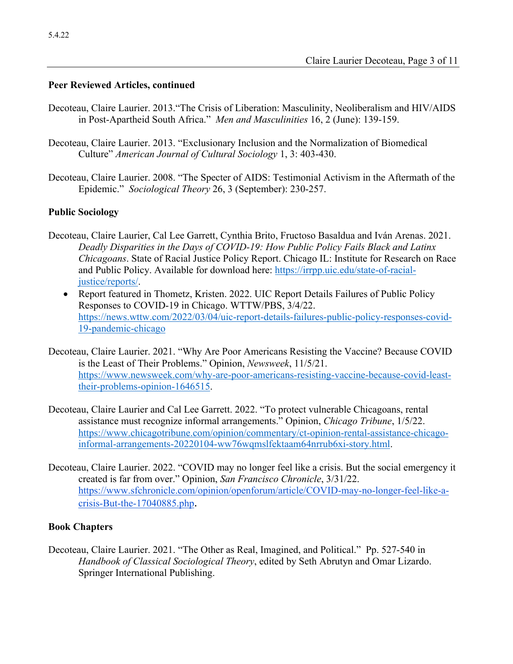### **Peer Reviewed Articles, continued**

- Decoteau, Claire Laurier. 2013."The Crisis of Liberation: Masculinity, Neoliberalism and HIV/AIDS in Post-Apartheid South Africa." *Men and Masculinities* 16, 2 (June): 139-159.
- Decoteau, Claire Laurier. 2013. "Exclusionary Inclusion and the Normalization of Biomedical Culture" *American Journal of Cultural Sociology* 1, 3: 403-430.
- Decoteau, Claire Laurier. 2008. "The Specter of AIDS: Testimonial Activism in the Aftermath of the Epidemic." *Sociological Theory* 26, 3 (September): 230-257.

### **Public Sociology**

- Decoteau, Claire Laurier, Cal Lee Garrett, Cynthia Brito, Fructoso Basaldua and Iván Arenas. 2021. *Deadly Disparities in the Days of COVID-19: How Public Policy Fails Black and Latinx Chicagoans*. State of Racial Justice Policy Report. Chicago IL: Institute for Research on Race and Public Policy. Available for download here: https://irrpp.uic.edu/state-of-racialjustice/reports/.
	- Report featured in Thometz, Kristen. 2022. UIC Report Details Failures of Public Policy Responses to COVID-19 in Chicago. WTTW/PBS, 3/4/22. https://news.wttw.com/2022/03/04/uic-report-details-failures-public-policy-responses-covid-19-pandemic-chicago
- Decoteau, Claire Laurier. 2021. "Why Are Poor Americans Resisting the Vaccine? Because COVID is the Least of Their Problems." Opinion, *Newsweek*, 11/5/21. https://www.newsweek.com/why-are-poor-americans-resisting-vaccine-because-covid-leasttheir-problems-opinion-1646515.
- Decoteau, Claire Laurier and Cal Lee Garrett. 2022. "To protect vulnerable Chicagoans, rental assistance must recognize informal arrangements." Opinion, *Chicago Tribune*, 1/5/22. https://www.chicagotribune.com/opinion/commentary/ct-opinion-rental-assistance-chicagoinformal-arrangements-20220104-ww76wqmslfektaam64nrrub6xi-story.html.
- Decoteau, Claire Laurier. 2022. "COVID may no longer feel like a crisis. But the social emergency it created is far from over." Opinion, *San Francisco Chronicle*, 3/31/22. https://www.sfchronicle.com/opinion/openforum/article/COVID-may-no-longer-feel-like-acrisis-But-the-17040885.php.

#### **Book Chapters**

Decoteau, Claire Laurier. 2021. "The Other as Real, Imagined, and Political." Pp. 527-540 in *Handbook of Classical Sociological Theory*, edited by Seth Abrutyn and Omar Lizardo. Springer International Publishing.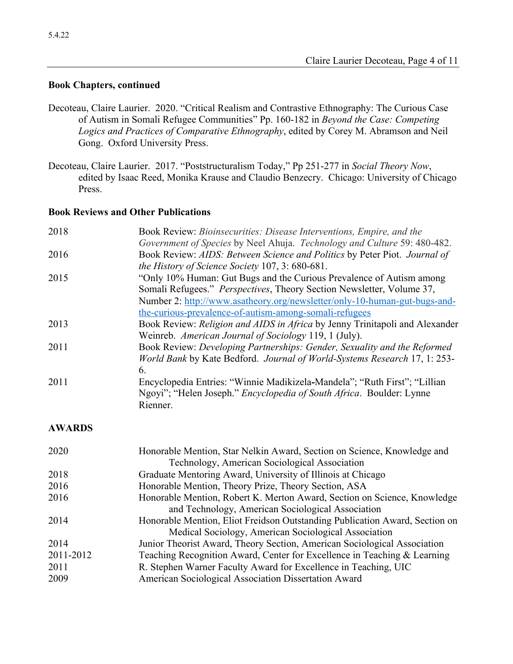### **Book Chapters, continued**

- Decoteau, Claire Laurier. 2020. "Critical Realism and Contrastive Ethnography: The Curious Case of Autism in Somali Refugee Communities" Pp. 160-182 in *Beyond the Case: Competing Logics and Practices of Comparative Ethnography*, edited by Corey M. Abramson and Neil Gong. Oxford University Press.
- Decoteau, Claire Laurier. 2017. "Poststructuralism Today," Pp 251-277 in *Social Theory Now*, edited by Isaac Reed, Monika Krause and Claudio Benzecry. Chicago: University of Chicago Press.

### **Book Reviews and Other Publications**

| 2018          | Book Review: Bioinsecurities: Disease Interventions, Empire, and the                                                                                                                                                       |
|---------------|----------------------------------------------------------------------------------------------------------------------------------------------------------------------------------------------------------------------------|
| 2016          | Government of Species by Neel Ahuja. Technology and Culture 59: 480-482.<br>Book Review: AIDS: Between Science and Politics by Peter Piot. Journal of<br>the History of Science Society 107, 3: 680-681.                   |
| 2015          | "Only 10% Human: Gut Bugs and the Curious Prevalence of Autism among<br>Somali Refugees." Perspectives, Theory Section Newsletter, Volume 37,<br>Number 2: http://www.asatheory.org/newsletter/only-10-human-gut-bugs-and- |
| 2013          | the-curious-prevalence-of-autism-among-somali-refugees<br>Book Review: Religion and AIDS in Africa by Jenny Trinitapoli and Alexander<br>Weinreb. American Journal of Sociology 119, 1 (July).                             |
| 2011          | Book Review: Developing Partnerships: Gender, Sexuality and the Reformed<br>World Bank by Kate Bedford. Journal of World-Systems Research 17, 1: 253-<br>6.                                                                |
| 2011          | Encyclopedia Entries: "Winnie Madikizela-Mandela"; "Ruth First"; "Lillian<br>Ngoyi"; "Helen Joseph." Encyclopedia of South Africa. Boulder: Lynne<br>Rienner.                                                              |
| <b>AWARDS</b> |                                                                                                                                                                                                                            |
| 2020          | Honorable Mention, Star Nelkin Award, Section on Science, Knowledge and<br>Technology, American Sociological Association                                                                                                   |
| 2018          | Graduate Mentoring Award, University of Illinois at Chicago                                                                                                                                                                |
| 2016          | Honorable Mention, Theory Prize, Theory Section, ASA                                                                                                                                                                       |
| 2016          | Honorable Mention, Robert K. Merton Award, Section on Science, Knowledge<br>and Technology, American Sociological Association                                                                                              |
| 2014          | Honorable Mention, Eliot Freidson Outstanding Publication Award, Section on<br>Medical Sociology, American Sociological Association                                                                                        |
| 2014          | Junior Theorist Award, Theory Section, American Sociological Association                                                                                                                                                   |
| 2011-2012     | Teaching Recognition Award, Center for Excellence in Teaching & Learning                                                                                                                                                   |
| 2011          | R. Stephen Warner Faculty Award for Excellence in Teaching, UIC                                                                                                                                                            |
| 2009          | American Sociological Association Dissertation Award                                                                                                                                                                       |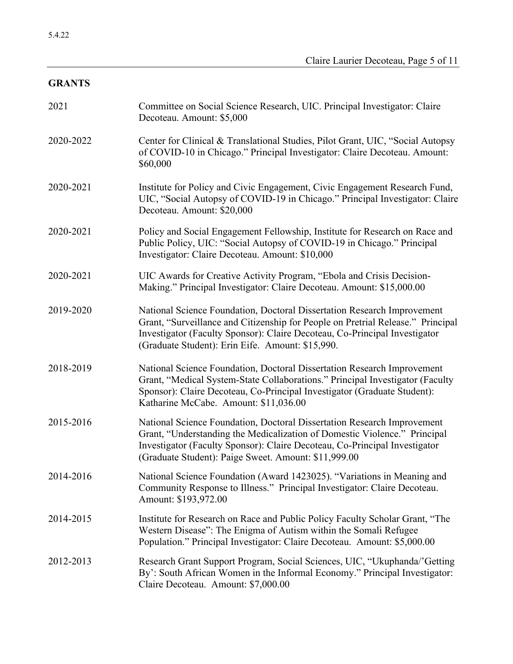# **GRANTS**

| 2021      | Committee on Social Science Research, UIC. Principal Investigator: Claire<br>Decoteau. Amount: \$5,000                                                                                                                                                                                       |
|-----------|----------------------------------------------------------------------------------------------------------------------------------------------------------------------------------------------------------------------------------------------------------------------------------------------|
| 2020-2022 | Center for Clinical & Translational Studies, Pilot Grant, UIC, "Social Autopsy<br>of COVID-10 in Chicago." Principal Investigator: Claire Decoteau. Amount:<br>\$60,000                                                                                                                      |
| 2020-2021 | Institute for Policy and Civic Engagement, Civic Engagement Research Fund,<br>UIC, "Social Autopsy of COVID-19 in Chicago." Principal Investigator: Claire<br>Decoteau. Amount: \$20,000                                                                                                     |
| 2020-2021 | Policy and Social Engagement Fellowship, Institute for Research on Race and<br>Public Policy, UIC: "Social Autopsy of COVID-19 in Chicago." Principal<br>Investigator: Claire Decoteau. Amount: \$10,000                                                                                     |
| 2020-2021 | UIC Awards for Creative Activity Program, "Ebola and Crisis Decision-<br>Making." Principal Investigator: Claire Decoteau. Amount: \$15,000.00                                                                                                                                               |
| 2019-2020 | National Science Foundation, Doctoral Dissertation Research Improvement<br>Grant, "Surveillance and Citizenship for People on Pretrial Release." Principal<br>Investigator (Faculty Sponsor): Claire Decoteau, Co-Principal Investigator<br>(Graduate Student): Erin Eife. Amount: \$15,990. |
| 2018-2019 | National Science Foundation, Doctoral Dissertation Research Improvement<br>Grant, "Medical System-State Collaborations." Principal Investigator (Faculty<br>Sponsor): Claire Decoteau, Co-Principal Investigator (Graduate Student):<br>Katharine McCabe. Amount: \$11,036.00                |
| 2015-2016 | National Science Foundation, Doctoral Dissertation Research Improvement<br>Grant, "Understanding the Medicalization of Domestic Violence." Principal<br>Investigator (Faculty Sponsor): Claire Decoteau, Co-Principal Investigator<br>(Graduate Student): Paige Sweet. Amount: \$11,999.00   |
| 2014-2016 | National Science Foundation (Award 1423025). "Variations in Meaning and<br>Community Response to Illness." Principal Investigator: Claire Decoteau.<br>Amount: \$193,972.00                                                                                                                  |
| 2014-2015 | Institute for Research on Race and Public Policy Faculty Scholar Grant, "The<br>Western Disease": The Enigma of Autism within the Somali Refugee<br>Population." Principal Investigator: Claire Decoteau. Amount: \$5,000.00                                                                 |
| 2012-2013 | Research Grant Support Program, Social Sciences, UIC, "Ukuphanda/'Getting<br>By': South African Women in the Informal Economy." Principal Investigator:<br>Claire Decoteau. Amount: \$7,000.00                                                                                               |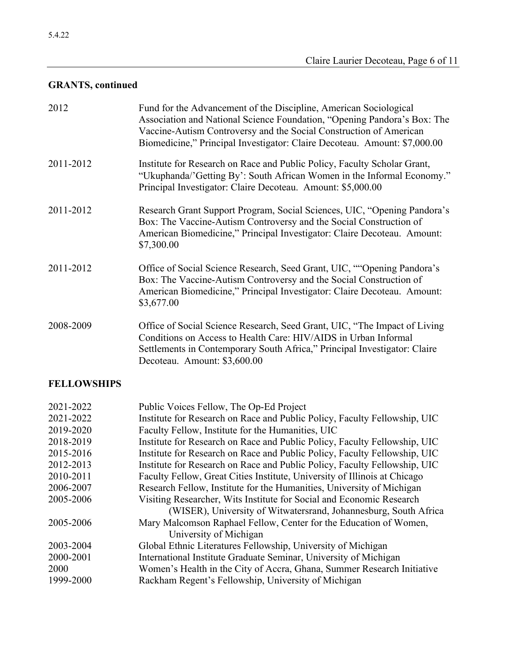# **GRANTS, continued**

| 2012      | Fund for the Advancement of the Discipline, American Sociological<br>Association and National Science Foundation, "Opening Pandora's Box: The<br>Vaccine-Autism Controversy and the Social Construction of American<br>Biomedicine," Principal Investigator: Claire Decoteau. Amount: \$7,000.00 |
|-----------|--------------------------------------------------------------------------------------------------------------------------------------------------------------------------------------------------------------------------------------------------------------------------------------------------|
| 2011-2012 | Institute for Research on Race and Public Policy, Faculty Scholar Grant,<br>"Ukuphanda/'Getting By': South African Women in the Informal Economy."<br>Principal Investigator: Claire Decoteau. Amount: \$5,000.00                                                                                |
| 2011-2012 | Research Grant Support Program, Social Sciences, UIC, "Opening Pandora's<br>Box: The Vaccine-Autism Controversy and the Social Construction of<br>American Biomedicine," Principal Investigator: Claire Decoteau. Amount:<br>\$7,300.00                                                          |
| 2011-2012 | Office of Social Science Research, Seed Grant, UIC, ""Opening Pandora's<br>Box: The Vaccine-Autism Controversy and the Social Construction of<br>American Biomedicine," Principal Investigator: Claire Decoteau. Amount:<br>\$3,677.00                                                           |
| 2008-2009 | Office of Social Science Research, Seed Grant, UIC, "The Impact of Living<br>Conditions on Access to Health Care: HIV/AIDS in Urban Informal<br>Settlements in Contemporary South Africa," Principal Investigator: Claire<br>Decoteau. Amount: \$3,600.00                                        |

## **FELLOWSHIPS**

| 2021-2022 | Public Voices Fellow, The Op-Ed Project                                   |
|-----------|---------------------------------------------------------------------------|
| 2021-2022 | Institute for Research on Race and Public Policy, Faculty Fellowship, UIC |
| 2019-2020 | Faculty Fellow, Institute for the Humanities, UIC                         |
| 2018-2019 | Institute for Research on Race and Public Policy, Faculty Fellowship, UIC |
| 2015-2016 | Institute for Research on Race and Public Policy, Faculty Fellowship, UIC |
| 2012-2013 | Institute for Research on Race and Public Policy, Faculty Fellowship, UIC |
| 2010-2011 | Faculty Fellow, Great Cities Institute, University of Illinois at Chicago |
| 2006-2007 | Research Fellow, Institute for the Humanities, University of Michigan     |
| 2005-2006 | Visiting Researcher, Wits Institute for Social and Economic Research      |
|           | (WISER), University of Witwatersrand, Johannesburg, South Africa          |
| 2005-2006 | Mary Malcomson Raphael Fellow, Center for the Education of Women,         |
|           | University of Michigan                                                    |
| 2003-2004 | Global Ethnic Literatures Fellowship, University of Michigan              |
| 2000-2001 | International Institute Graduate Seminar, University of Michigan          |
| 2000      | Women's Health in the City of Accra, Ghana, Summer Research Initiative    |
| 1999-2000 | Rackham Regent's Fellowship, University of Michigan                       |
|           |                                                                           |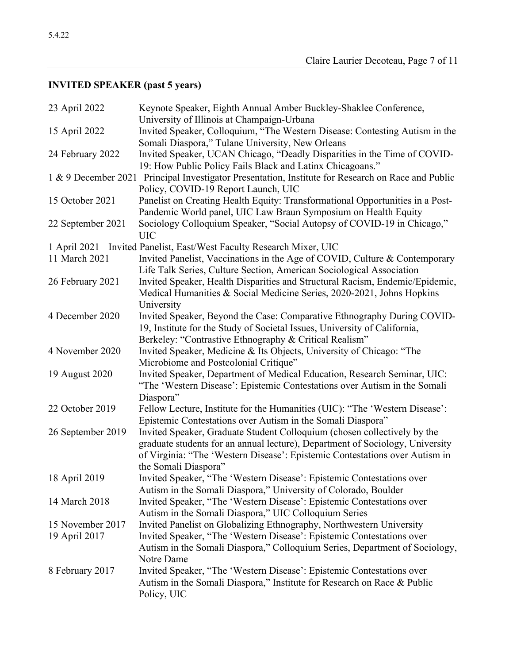# **INVITED SPEAKER (past 5 years)**

| 23 April 2022     | Keynote Speaker, Eighth Annual Amber Buckley-Shaklee Conference,<br>University of Illinois at Champaign-Urbana                                                                                                                                                   |
|-------------------|------------------------------------------------------------------------------------------------------------------------------------------------------------------------------------------------------------------------------------------------------------------|
| 15 April 2022     | Invited Speaker, Colloquium, "The Western Disease: Contesting Autism in the<br>Somali Diaspora," Tulane University, New Orleans                                                                                                                                  |
| 24 February 2022  | Invited Speaker, UCAN Chicago, "Deadly Disparities in the Time of COVID-<br>19: How Public Policy Fails Black and Latinx Chicagoans."                                                                                                                            |
|                   | 1 & 9 December 2021 Principal Investigator Presentation, Institute for Research on Race and Public<br>Policy, COVID-19 Report Launch, UIC                                                                                                                        |
| 15 October 2021   | Panelist on Creating Health Equity: Transformational Opportunities in a Post-<br>Pandemic World panel, UIC Law Braun Symposium on Health Equity                                                                                                                  |
| 22 September 2021 | Sociology Colloquium Speaker, "Social Autopsy of COVID-19 in Chicago,"<br><b>UIC</b>                                                                                                                                                                             |
|                   | 1 April 2021 Invited Panelist, East/West Faculty Research Mixer, UIC                                                                                                                                                                                             |
| 11 March 2021     | Invited Panelist, Vaccinations in the Age of COVID, Culture & Contemporary<br>Life Talk Series, Culture Section, American Sociological Association                                                                                                               |
| 26 February 2021  | Invited Speaker, Health Disparities and Structural Racism, Endemic/Epidemic,<br>Medical Humanities & Social Medicine Series, 2020-2021, Johns Hopkins<br>University                                                                                              |
| 4 December 2020   | Invited Speaker, Beyond the Case: Comparative Ethnography During COVID-<br>19, Institute for the Study of Societal Issues, University of California,<br>Berkeley: "Contrastive Ethnography & Critical Realism"                                                   |
| 4 November 2020   | Invited Speaker, Medicine & Its Objects, University of Chicago: "The<br>Microbiome and Postcolonial Critique"                                                                                                                                                    |
| 19 August 2020    | Invited Speaker, Department of Medical Education, Research Seminar, UIC:<br>"The 'Western Disease': Epistemic Contestations over Autism in the Somali<br>Diaspora"                                                                                               |
| 22 October 2019   | Fellow Lecture, Institute for the Humanities (UIC): "The 'Western Disease':<br>Epistemic Contestations over Autism in the Somali Diaspora"                                                                                                                       |
| 26 September 2019 | Invited Speaker, Graduate Student Colloquium (chosen collectively by the<br>graduate students for an annual lecture), Department of Sociology, University<br>of Virginia: "The 'Western Disease': Epistemic Contestations over Autism in<br>the Somali Diaspora" |
| 18 April 2019     | Invited Speaker, "The 'Western Disease': Epistemic Contestations over<br>Autism in the Somali Diaspora," University of Colorado, Boulder                                                                                                                         |
| 14 March 2018     | Invited Speaker, "The 'Western Disease': Epistemic Contestations over<br>Autism in the Somali Diaspora," UIC Colloquium Series                                                                                                                                   |
| 15 November 2017  | Invited Panelist on Globalizing Ethnography, Northwestern University                                                                                                                                                                                             |
| 19 April 2017     | Invited Speaker, "The 'Western Disease': Epistemic Contestations over<br>Autism in the Somali Diaspora," Colloquium Series, Department of Sociology,                                                                                                             |
| 8 February 2017   | Notre Dame<br>Invited Speaker, "The 'Western Disease': Epistemic Contestations over<br>Autism in the Somali Diaspora," Institute for Research on Race & Public<br>Policy, UIC                                                                                    |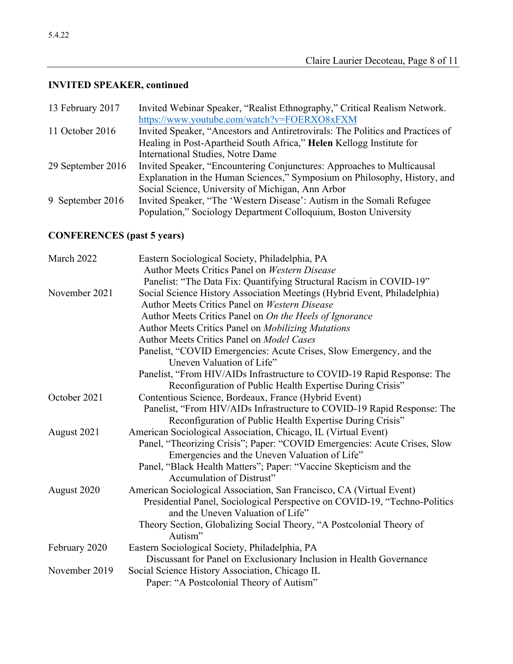# **INVITED SPEAKER, continued**

| 13 February 2017  | Invited Webinar Speaker, "Realist Ethnography," Critical Realism Network.      |
|-------------------|--------------------------------------------------------------------------------|
|                   | https://www.youtube.com/watch?v=FOERXO8xFXM                                    |
| 11 October 2016   | Invited Speaker, "Ancestors and Antiretrovirals: The Politics and Practices of |
|                   | Healing in Post-Apartheid South Africa," Helen Kellogg Institute for           |
|                   | <b>International Studies, Notre Dame</b>                                       |
| 29 September 2016 | Invited Speaker, "Encountering Conjunctures: Approaches to Multicausal         |
|                   | Explanation in the Human Sciences," Symposium on Philosophy, History, and      |
|                   | Social Science, University of Michigan, Ann Arbor                              |
| 9 September 2016  | Invited Speaker, "The 'Western Disease': Autism in the Somali Refugee          |
|                   | Population," Sociology Department Colloquium, Boston University                |
|                   |                                                                                |

# **CONFERENCES (past 5 years)**

| March 2022    | Eastern Sociological Society, Philadelphia, PA                             |
|---------------|----------------------------------------------------------------------------|
|               | Author Meets Critics Panel on Western Disease                              |
|               | Panelist: "The Data Fix: Quantifying Structural Racism in COVID-19"        |
| November 2021 | Social Science History Association Meetings (Hybrid Event, Philadelphia)   |
|               | Author Meets Critics Panel on Western Disease                              |
|               | Author Meets Critics Panel on On the Heels of Ignorance                    |
|               | Author Meets Critics Panel on Mobilizing Mutations                         |
|               | Author Meets Critics Panel on Model Cases                                  |
|               | Panelist, "COVID Emergencies: Acute Crises, Slow Emergency, and the        |
|               | Uneven Valuation of Life"                                                  |
|               | Panelist, "From HIV/AIDs Infrastructure to COVID-19 Rapid Response: The    |
|               | Reconfiguration of Public Health Expertise During Crisis"                  |
| October 2021  | Contentious Science, Bordeaux, France (Hybrid Event)                       |
|               | Panelist, "From HIV/AIDs Infrastructure to COVID-19 Rapid Response: The    |
|               | Reconfiguration of Public Health Expertise During Crisis"                  |
| August 2021   | American Sociological Association, Chicago, IL (Virtual Event)             |
|               | Panel, "Theorizing Crisis"; Paper: "COVID Emergencies: Acute Crises, Slow  |
|               | Emergencies and the Uneven Valuation of Life"                              |
|               | Panel, "Black Health Matters"; Paper: "Vaccine Skepticism and the          |
|               | Accumulation of Distrust"                                                  |
| August 2020   | American Sociological Association, San Francisco, CA (Virtual Event)       |
|               | Presidential Panel, Sociological Perspective on COVID-19, "Techno-Politics |
|               | and the Uneven Valuation of Life"                                          |
|               | Theory Section, Globalizing Social Theory, "A Postcolonial Theory of       |
|               | Autism"                                                                    |
| February 2020 | Eastern Sociological Society, Philadelphia, PA                             |
|               | Discussant for Panel on Exclusionary Inclusion in Health Governance        |
| November 2019 | Social Science History Association, Chicago IL                             |
|               | Paper: "A Postcolonial Theory of Autism"                                   |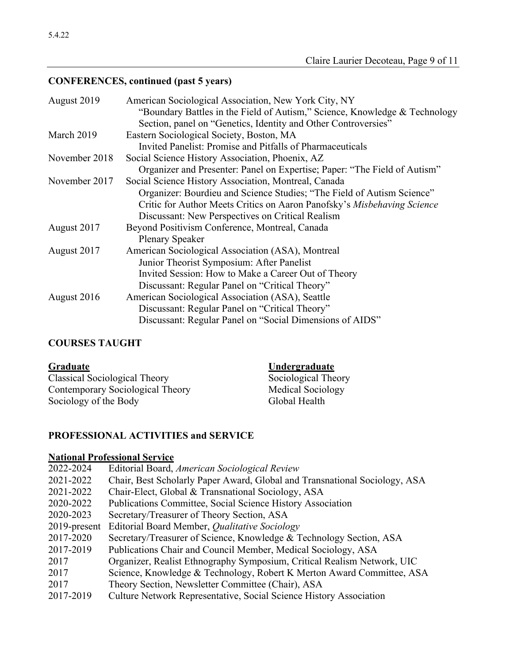# **CONFERENCES, continued (past 5 years)**

| August 2019   | American Sociological Association, New York City, NY                       |
|---------------|----------------------------------------------------------------------------|
|               | "Boundary Battles in the Field of Autism," Science, Knowledge & Technology |
|               | Section, panel on "Genetics, Identity and Other Controversies"             |
| March 2019    | Eastern Sociological Society, Boston, MA                                   |
|               | Invited Panelist: Promise and Pitfalls of Pharmaceuticals                  |
| November 2018 | Social Science History Association, Phoenix, AZ                            |
|               | Organizer and Presenter: Panel on Expertise; Paper: "The Field of Autism"  |
| November 2017 | Social Science History Association, Montreal, Canada                       |
|               | Organizer: Bourdieu and Science Studies; "The Field of Autism Science"     |
|               | Critic for Author Meets Critics on Aaron Panofsky's Misbehaving Science    |
|               | Discussant: New Perspectives on Critical Realism                           |
| August 2017   | Beyond Positivism Conference, Montreal, Canada                             |
|               | <b>Plenary Speaker</b>                                                     |
| August 2017   | American Sociological Association (ASA), Montreal                          |
|               | Junior Theorist Symposium: After Panelist                                  |
|               | Invited Session: How to Make a Career Out of Theory                        |
|               | Discussant: Regular Panel on "Critical Theory"                             |
| August 2016   | American Sociological Association (ASA), Seattle                           |
|               | Discussant: Regular Panel on "Critical Theory"                             |
|               | Discussant: Regular Panel on "Social Dimensions of AIDS"                   |

# **COURSES TAUGHT**

| Graduate                         | Undergraduate       |
|----------------------------------|---------------------|
| Classical Sociological Theory    | Sociological Theory |
| Contemporary Sociological Theory | Medical Sociology   |
| Sociology of the Body            | Global Health       |

# **PROFESSIONAL ACTIVITIES and SERVICE**

# **National Professional Service**

| 2022-2024       | Editorial Board, American Sociological Review                              |
|-----------------|----------------------------------------------------------------------------|
| 2021-2022       | Chair, Best Scholarly Paper Award, Global and Transnational Sociology, ASA |
| 2021-2022       | Chair-Elect, Global & Transnational Sociology, ASA                         |
| 2020-2022       | Publications Committee, Social Science History Association                 |
| 2020-2023       | Secretary/Treasurer of Theory Section, ASA                                 |
| $2019$ -present | Editorial Board Member, <i>Qualitative Sociology</i>                       |
| 2017-2020       | Secretary/Treasurer of Science, Knowledge & Technology Section, ASA        |
| 2017-2019       | Publications Chair and Council Member, Medical Sociology, ASA              |
| 2017            | Organizer, Realist Ethnography Symposium, Critical Realism Network, UIC    |
| 2017            | Science, Knowledge & Technology, Robert K Merton Award Committee, ASA      |
| 2017            | Theory Section, Newsletter Committee (Chair), ASA                          |
| 2017-2019       | Culture Network Representative, Social Science History Association         |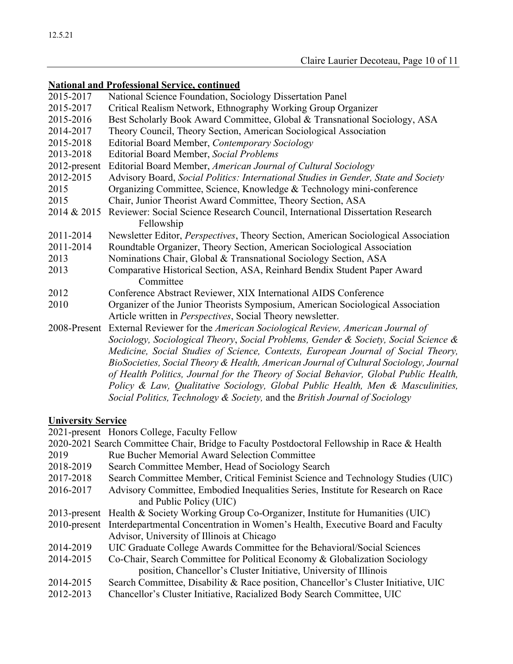### **National and Professional Service, continued**

| 2015-2017    | National Science Foundation, Sociology Dissertation Panel                             |
|--------------|---------------------------------------------------------------------------------------|
| 2015-2017    | Critical Realism Network, Ethnography Working Group Organizer                         |
| 2015-2016    | Best Scholarly Book Award Committee, Global & Transnational Sociology, ASA            |
| 2014-2017    | Theory Council, Theory Section, American Sociological Association                     |
| 2015-2018    | Editorial Board Member, Contemporary Sociology                                        |
| 2013-2018    | <b>Editorial Board Member, Social Problems</b>                                        |
| 2012-present | Editorial Board Member, American Journal of Cultural Sociology                        |
| 2012-2015    | Advisory Board, Social Politics: International Studies in Gender, State and Society   |
| 2015         | Organizing Committee, Science, Knowledge & Technology mini-conference                 |
| 2015         | Chair, Junior Theorist Award Committee, Theory Section, ASA                           |
| 2014 & 2015  | Reviewer: Social Science Research Council, International Dissertation Research        |
|              | Fellowship                                                                            |
| 2011-2014    | Newsletter Editor, Perspectives, Theory Section, American Sociological Association    |
| 2011-2014    | Roundtable Organizer, Theory Section, American Sociological Association               |
| 2013         | Nominations Chair, Global & Transnational Sociology Section, ASA                      |
| 2013         | Comparative Historical Section, ASA, Reinhard Bendix Student Paper Award              |
|              | Committee                                                                             |
| 2012         | Conference Abstract Reviewer, XIX International AIDS Conference                       |
| 2010         | Organizer of the Junior Theorists Symposium, American Sociological Association        |
|              | Article written in Perspectives, Social Theory newsletter.                            |
| 2008-Present | External Reviewer for the American Sociological Review, American Journal of           |
|              | Sociology, Sociological Theory, Social Problems, Gender & Society, Social Science &   |
|              | Medicine, Social Studies of Science, Contexts, European Journal of Social Theory,     |
|              | BioSocieties, Social Theory & Health, American Journal of Cultural Sociology, Journal |
|              | of Health Politics, Journal for the Theory of Social Behavior, Global Public Health,  |
|              | Policy & Law, Qualitative Sociology, Global Public Health, Men & Masculinities,       |
|              | Social Politics, Technology & Society, and the British Journal of Sociology           |

### **University Service**

2021-present Honors College, Faculty Fellow

- 2020-2021 Search Committee Chair, Bridge to Faculty Postdoctoral Fellowship in Race & Health 2019 Rue Bucher Memorial Award Selection Committee
- 2018-2019 Search Committee Member, Head of Sociology Search
- 2017-2018 Search Committee Member, Critical Feminist Science and Technology Studies (UIC)
- 2016-2017 Advisory Committee, Embodied Inequalities Series, Institute for Research on Race and Public Policy (UIC)
- 2013-present Health & Society Working Group Co-Organizer, Institute for Humanities (UIC)
- 2010-present Interdepartmental Concentration in Women's Health, Executive Board and Faculty Advisor, University of Illinois at Chicago
- 2014-2019 UIC Graduate College Awards Committee for the Behavioral/Social Sciences
- 2014-2015 Co-Chair, Search Committee for Political Economy & Globalization Sociology position, Chancellor's Cluster Initiative, University of Illinois
- 2014-2015 Search Committee, Disability & Race position, Chancellor's Cluster Initiative, UIC
- 2012-2013 Chancellor's Cluster Initiative, Racialized Body Search Committee, UIC